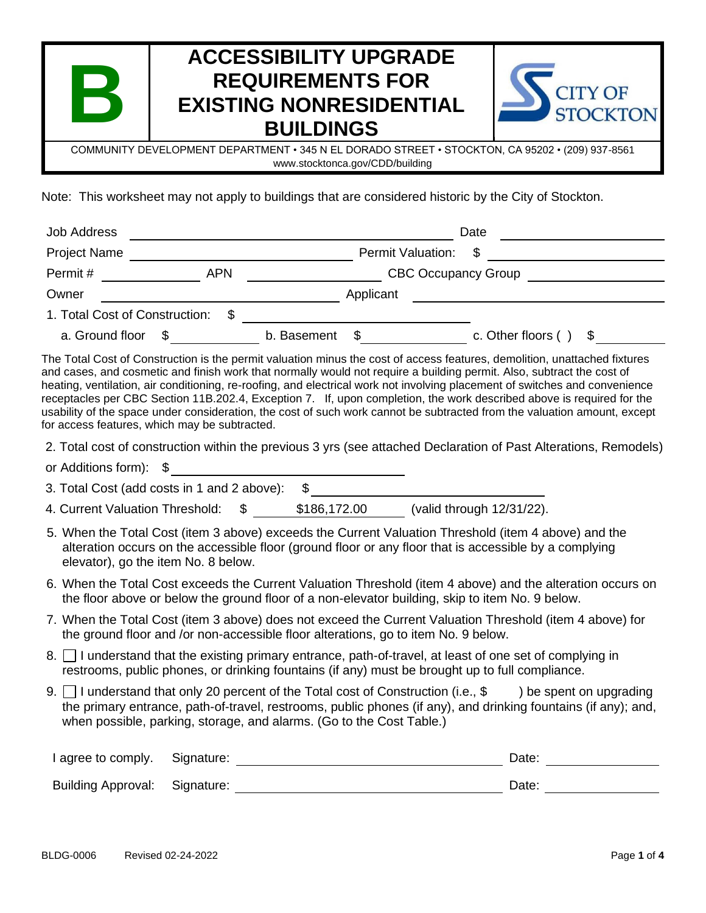| l San<br>$\Box$                                                                                                                    | <b>ACCESSIBILITY UPGRADE</b><br><b>REQUIREMENTS FOR</b><br><b>EXISTING NONRESIDENTIAL</b><br><b>BUILDINGS</b> | <b>CITY OF</b><br>STOCKTON |
|------------------------------------------------------------------------------------------------------------------------------------|---------------------------------------------------------------------------------------------------------------|----------------------------|
| COMMUNITY DEVELOPMENT DEPARTMENT • 345 N EL DORADO STREET • STOCKTON, CA 95202 • (209) 937-8561<br>www.stocktonca.gov/CDD/building |                                                                                                               |                            |

Note: This worksheet may not apply to buildings that are considered historic by the City of Stockton.

| <b>Job Address</b>             |            |             |                   | Date                       |
|--------------------------------|------------|-------------|-------------------|----------------------------|
| <b>Project Name</b>            |            |             | Permit Valuation: | - SS                       |
| Permit#                        | <b>APN</b> |             |                   | <b>CBC Occupancy Group</b> |
| Owner                          |            |             | Applicant         |                            |
| 1. Total Cost of Construction: |            |             |                   |                            |
| a. Ground floor                |            | b. Basement | - \$              | c. Other floors (<br>\$    |

The Total Cost of Construction is the permit valuation minus the cost of access features, demolition, unattached fixtures and cases, and cosmetic and finish work that normally would not require a building permit. Also, subtract the cost of heating, ventilation, air conditioning, re-roofing, and electrical work not involving placement of switches and convenience receptacles per CBC Section 11B.202.4, Exception 7. If, upon completion, the work described above is required for the usability of the space under consideration, the cost of such work cannot be subtracted from the valuation amount, except for access features, which may be subtracted.

2. Total cost of construction within the previous 3 yrs (see attached Declaration of Past Alterations, Remodels)

or Additions form): \$ 3. Total Cost (add costs in 1 and 2 above): \$

4. Current Valuation Threshold: \$ \$186,172.00 (valid through 12/31/22).

- 5. When the Total Cost (item 3 above) exceeds the Current Valuation Threshold (item 4 above) and the alteration occurs on the accessible floor (ground floor or any floor that is accessible by a complying elevator), go the item No. 8 below.
- 6. When the Total Cost exceeds the Current Valuation Threshold (item 4 above) and the alteration occurs on the floor above or below the ground floor of a non-elevator building, skip to item No. 9 below.
- 7. When the Total Cost (item 3 above) does not exceed the Current Valuation Threshold (item 4 above) for the ground floor and /or non-accessible floor alterations, go to item No. 9 below.
- 8. I understand that the existing primary entrance, path-of-travel, at least of one set of complying in restrooms, public phones, or drinking fountains (if any) must be brought up to full compliance.
- 9. I understand that only 20 percent of the Total cost of Construction (i.e.,  $\$\)$  be spent on upgrading the primary entrance, path-of-travel, restrooms, public phones (if any), and drinking fountains (if any); and, when possible, parking, storage, and alarms. (Go to the Cost Table.)

| I agree to comply. Signature:        |  | Date: |
|--------------------------------------|--|-------|
| <b>Building Approval: Signature:</b> |  | Date: |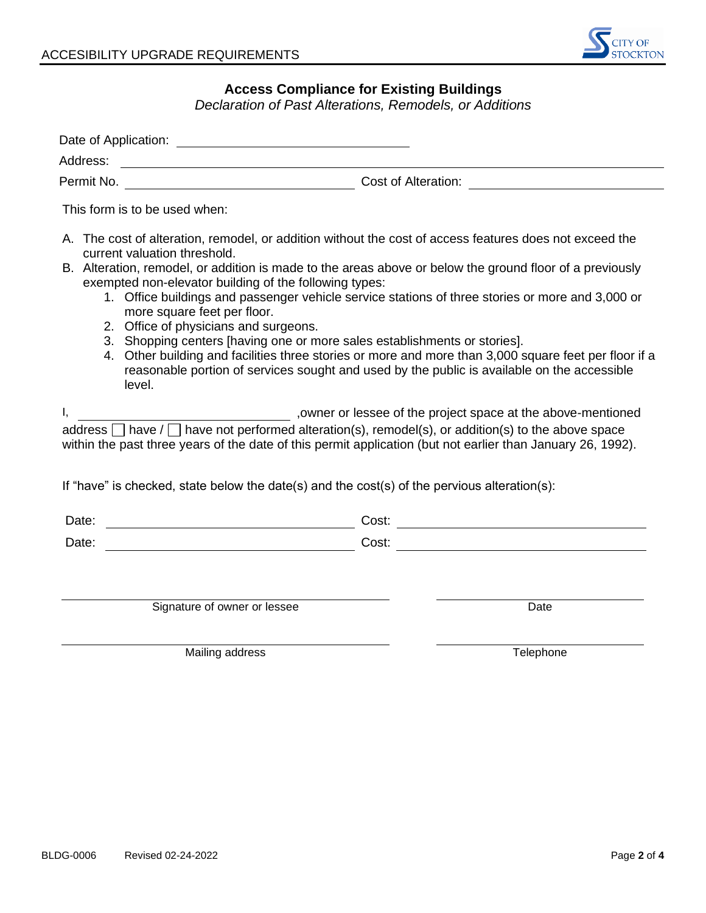

## **Access Compliance for Existing Buildings**

*Declaration of Past Alterations, Remodels, or Additions*

| Address:<br><u> 1989 - Jan Stein Stein Stein Stein Stein Stein Stein Stein Stein Stein Stein Stein Stein Stein Stein Stein S</u><br>Permit No.                                                                                                                                                                                                                                                                                                                                                                                                                                                                                                                                                                                                                                           |                                                                                                                                                                                                                                                                                            |  |
|------------------------------------------------------------------------------------------------------------------------------------------------------------------------------------------------------------------------------------------------------------------------------------------------------------------------------------------------------------------------------------------------------------------------------------------------------------------------------------------------------------------------------------------------------------------------------------------------------------------------------------------------------------------------------------------------------------------------------------------------------------------------------------------|--------------------------------------------------------------------------------------------------------------------------------------------------------------------------------------------------------------------------------------------------------------------------------------------|--|
| This form is to be used when:                                                                                                                                                                                                                                                                                                                                                                                                                                                                                                                                                                                                                                                                                                                                                            |                                                                                                                                                                                                                                                                                            |  |
| A. The cost of alteration, remodel, or addition without the cost of access features does not exceed the<br>current valuation threshold.<br>B. Alteration, remodel, or addition is made to the areas above or below the ground floor of a previously<br>exempted non-elevator building of the following types:<br>1. Office buildings and passenger vehicle service stations of three stories or more and 3,000 or<br>more square feet per floor.<br>2. Office of physicians and surgeons.<br>3. Shopping centers [having one or more sales establishments or stories].<br>4. Other building and facilities three stories or more and more than 3,000 square feet per floor if a<br>reasonable portion of services sought and used by the public is available on the accessible<br>level. |                                                                                                                                                                                                                                                                                            |  |
| Ι,                                                                                                                                                                                                                                                                                                                                                                                                                                                                                                                                                                                                                                                                                                                                                                                       | owner or lessee of the project space at the above-mentioned<br>address $\Box$ have / $\Box$ have not performed alteration(s), remodel(s), or addition(s) to the above space<br>within the past three years of the date of this permit application (but not earlier than January 26, 1992). |  |
| If "have" is checked, state below the date(s) and the cost(s) of the pervious alteration(s):                                                                                                                                                                                                                                                                                                                                                                                                                                                                                                                                                                                                                                                                                             |                                                                                                                                                                                                                                                                                            |  |
| Date:                                                                                                                                                                                                                                                                                                                                                                                                                                                                                                                                                                                                                                                                                                                                                                                    |                                                                                                                                                                                                                                                                                            |  |
| Date:                                                                                                                                                                                                                                                                                                                                                                                                                                                                                                                                                                                                                                                                                                                                                                                    |                                                                                                                                                                                                                                                                                            |  |
| Signature of owner or lessee                                                                                                                                                                                                                                                                                                                                                                                                                                                                                                                                                                                                                                                                                                                                                             | Date                                                                                                                                                                                                                                                                                       |  |

Mailing address **Telephone**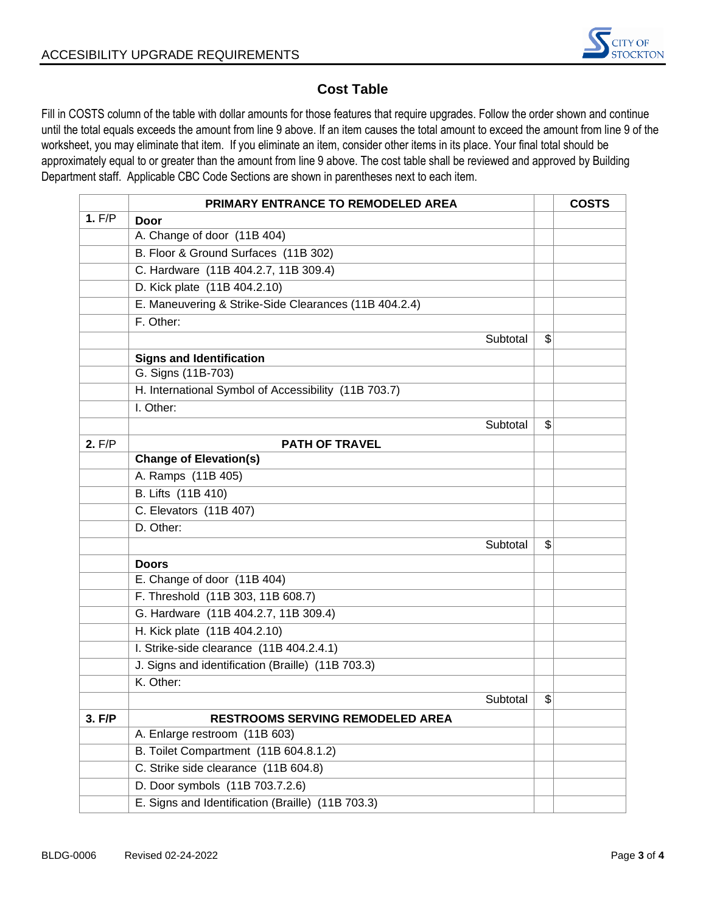

## **Cost Table**

Fill in COSTS column of the table with dollar amounts for those features that require upgrades. Follow the order shown and continue until the total equals exceeds the amount from line 9 above. If an item causes the total amount to exceed the amount from line 9 of the worksheet, you may eliminate that item. If you eliminate an item, consider other items in its place. Your final total should be approximately equal to or greater than the amount from line 9 above. The cost table shall be reviewed and approved by Building Department staff. Applicable CBC Code Sections are shown in parentheses next to each item.

|        | PRIMARY ENTRANCE TO REMODELED AREA                    | <b>COSTS</b> |
|--------|-------------------------------------------------------|--------------|
| 1. F/P | Door                                                  |              |
|        | A. Change of door (11B 404)                           |              |
|        | B. Floor & Ground Surfaces (11B 302)                  |              |
|        | C. Hardware (11B 404.2.7, 11B 309.4)                  |              |
|        | D. Kick plate (11B 404.2.10)                          |              |
|        | E. Maneuvering & Strike-Side Clearances (11B 404.2.4) |              |
|        | F. Other:                                             |              |
|        | Subtotal                                              | \$           |
|        | <b>Signs and Identification</b>                       |              |
|        | G. Signs (11B-703)                                    |              |
|        | H. International Symbol of Accessibility (11B 703.7)  |              |
|        | I. Other:                                             |              |
|        | Subtotal                                              | \$           |
| 2. F/P | <b>PATH OF TRAVEL</b>                                 |              |
|        | <b>Change of Elevation(s)</b>                         |              |
|        | A. Ramps (11B 405)                                    |              |
|        | B. Lifts (11B 410)                                    |              |
|        | C. Elevators (11B 407)                                |              |
|        | D. Other:                                             |              |
|        | Subtotal                                              | \$           |
|        | <b>Doors</b>                                          |              |
|        | E. Change of door (11B 404)                           |              |
|        | F. Threshold (11B 303, 11B 608.7)                     |              |
|        | G. Hardware (11B 404.2.7, 11B 309.4)                  |              |
|        | H. Kick plate (11B 404.2.10)                          |              |
|        | I. Strike-side clearance (11B 404.2.4.1)              |              |
|        | J. Signs and identification (Braille) (11B 703.3)     |              |
|        | K. Other:                                             |              |
|        | Subtotal                                              | \$           |
| 3. F/P | RESTROOMS SERVING REMODELED AREA                      |              |
|        | A. Enlarge restroom (11B 603)                         |              |
|        | B. Toilet Compartment (11B 604.8.1.2)                 |              |
|        | C. Strike side clearance (11B 604.8)                  |              |
|        | D. Door symbols (11B 703.7.2.6)                       |              |
|        | E. Signs and Identification (Braille) (11B 703.3)     |              |